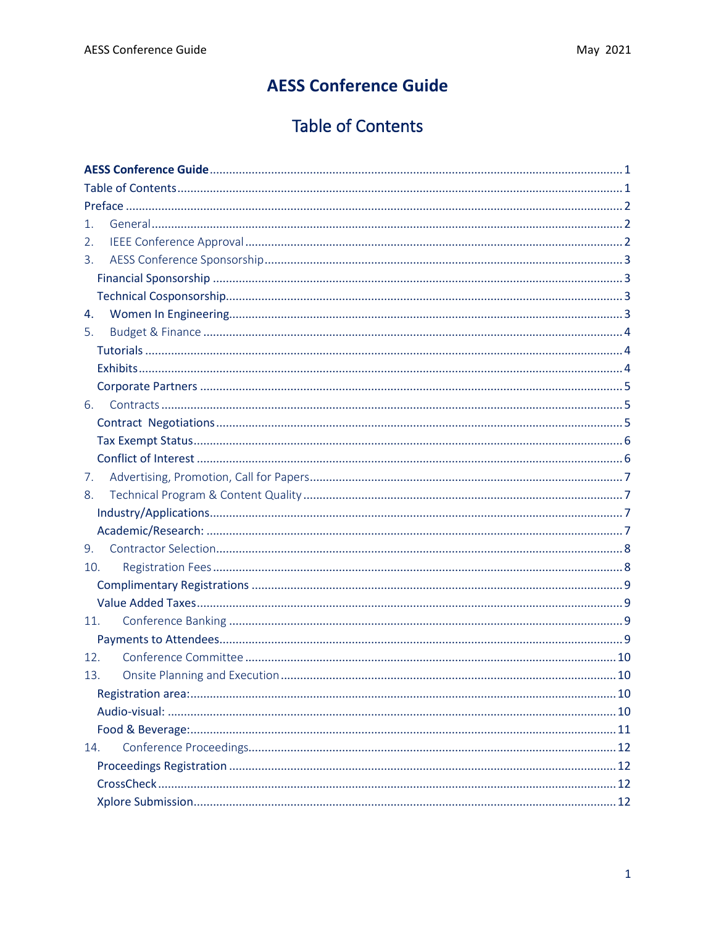# **AESS Conference Guide**

# **Table of Contents**

<span id="page-0-1"></span><span id="page-0-0"></span>

| 1.             |  |
|----------------|--|
| 2.             |  |
| $\mathbf{3}$ . |  |
|                |  |
|                |  |
| 4.             |  |
| 5.             |  |
|                |  |
|                |  |
|                |  |
| 6.             |  |
|                |  |
|                |  |
|                |  |
| 7.             |  |
| 8.             |  |
|                |  |
|                |  |
| 9.             |  |
| 10.            |  |
|                |  |
|                |  |
| 11.            |  |
|                |  |
| 12.            |  |
| 13.            |  |
|                |  |
|                |  |
|                |  |
| 14.            |  |
|                |  |
|                |  |
|                |  |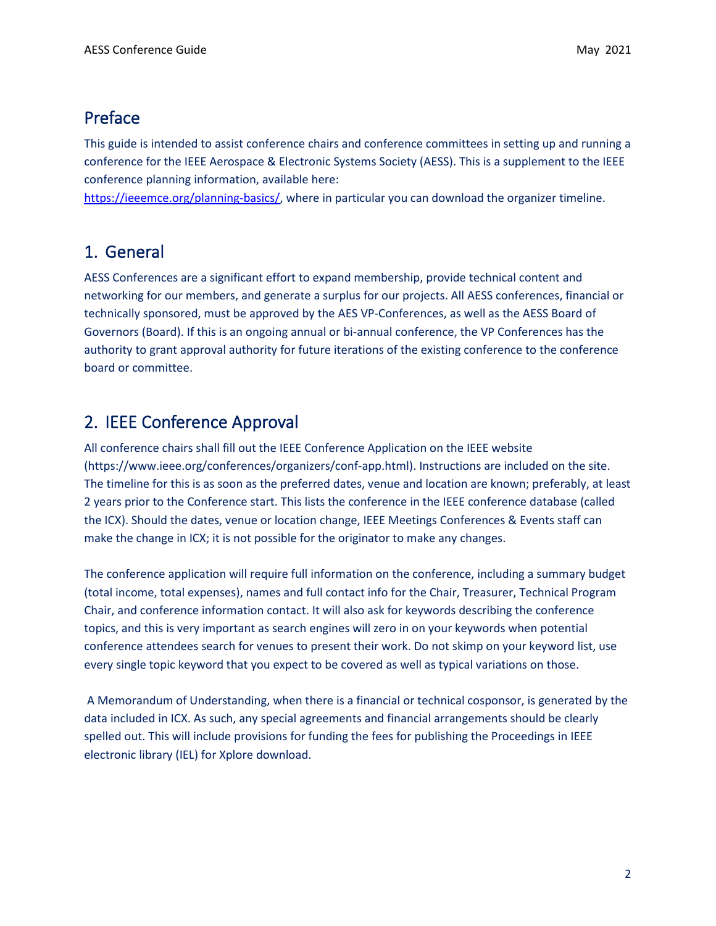## <span id="page-1-0"></span>Preface

This guide is intended to assist conference chairs and conference committees in setting up and running a conference for the IEEE Aerospace & Electronic Systems Society (AESS). This is a supplement to the IEEE conference planning information, available here:

[https://ieeemce.org/planning-basics/,](https://ieeemce.org/planning-basics/) where in particular you can download the organizer timeline.

## <span id="page-1-1"></span>1. General

AESS Conferences are a significant effort to expand membership, provide technical content and networking for our members, and generate a surplus for our projects. All AESS conferences, financial or technically sponsored, must be approved by the AES VP-Conferences, as well as the AESS Board of Governors (Board). If this is an ongoing annual or bi-annual conference, the VP Conferences has the authority to grant approval authority for future iterations of the existing conference to the conference board or committee.

## <span id="page-1-2"></span>2. IEEE Conference Approval

All conference chairs shall fill out the IEEE Conference Application on the IEEE website (https://www.ieee.org/conferences/organizers/conf-app.html). Instructions are included on the site. The timeline for this is as soon as the preferred dates, venue and location are known; preferably, at least 2 years prior to the Conference start. This lists the conference in the IEEE conference database (called the ICX). Should the dates, venue or location change, IEEE Meetings Conferences & Events staff can make the change in ICX; it is not possible for the originator to make any changes.

The conference application will require full information on the conference, including a summary budget (total income, total expenses), names and full contact info for the Chair, Treasurer, Technical Program Chair, and conference information contact. It will also ask for keywords describing the conference topics, and this is very important as search engines will zero in on your keywords when potential conference attendees search for venues to present their work. Do not skimp on your keyword list, use every single topic keyword that you expect to be covered as well as typical variations on those.

A Memorandum of Understanding, when there is a financial or technical cosponsor, is generated by the data included in ICX. As such, any special agreements and financial arrangements should be clearly spelled out. This will include provisions for funding the fees for publishing the Proceedings in IEEE electronic library (IEL) for Xplore download.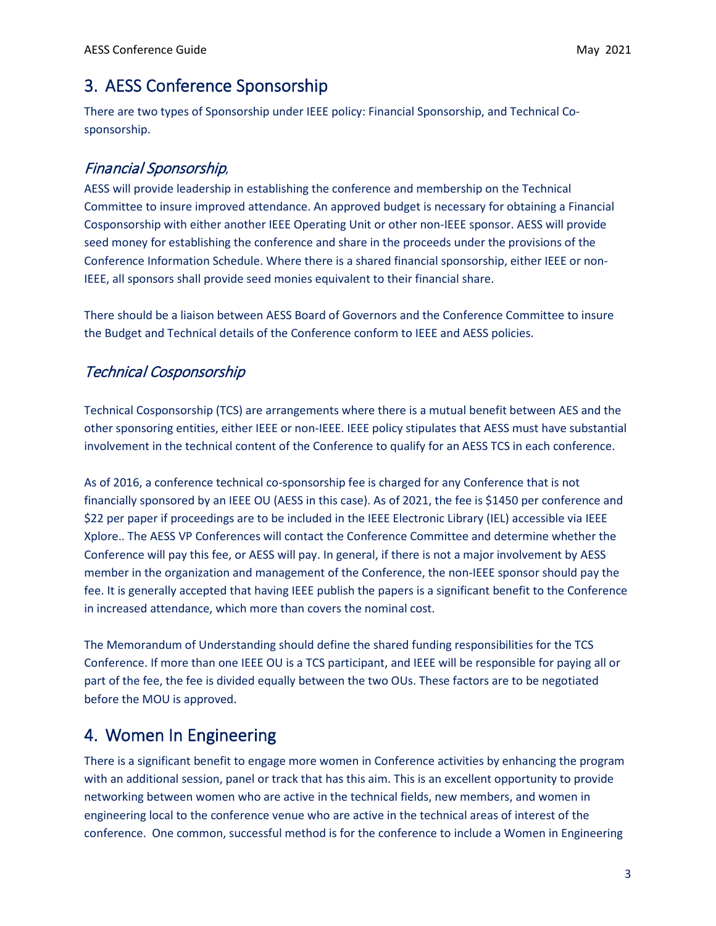## <span id="page-2-0"></span>3. AESS Conference Sponsorship

There are two types of Sponsorship under IEEE policy: Financial Sponsorship, and Technical Cosponsorship.

## <span id="page-2-1"></span>Financial Sponsorship,

AESS will provide leadership in establishing the conference and membership on the Technical Committee to insure improved attendance. An approved budget is necessary for obtaining a Financial Cosponsorship with either another IEEE Operating Unit or other non-IEEE sponsor. AESS will provide seed money for establishing the conference and share in the proceeds under the provisions of the Conference Information Schedule. Where there is a shared financial sponsorship, either IEEE or non-IEEE, all sponsors shall provide seed monies equivalent to their financial share.

There should be a liaison between AESS Board of Governors and the Conference Committee to insure the Budget and Technical details of the Conference conform to IEEE and AESS policies.

## <span id="page-2-2"></span>Technical Cosponsorship

Technical Cosponsorship (TCS) are arrangements where there is a mutual benefit between AES and the other sponsoring entities, either IEEE or non-IEEE. IEEE policy stipulates that AESS must have substantial involvement in the technical content of the Conference to qualify for an AESS TCS in each conference.

As of 2016, a conference technical co-sponsorship fee is charged for any Conference that is not financially sponsored by an IEEE OU (AESS in this case). As of 2021, the fee is \$1450 per conference and \$22 per paper if proceedings are to be included in the IEEE Electronic Library (IEL) accessible via IEEE Xplore.. The AESS VP Conferences will contact the Conference Committee and determine whether the Conference will pay this fee, or AESS will pay. In general, if there is not a major involvement by AESS member in the organization and management of the Conference, the non-IEEE sponsor should pay the fee. It is generally accepted that having IEEE publish the papers is a significant benefit to the Conference in increased attendance, which more than covers the nominal cost.

The Memorandum of Understanding should define the shared funding responsibilities for the TCS Conference. If more than one IEEE OU is a TCS participant, and IEEE will be responsible for paying all or part of the fee, the fee is divided equally between the two OUs. These factors are to be negotiated before the MOU is approved.

## <span id="page-2-3"></span>4. Women In Engineering

There is a significant benefit to engage more women in Conference activities by enhancing the program with an additional session, panel or track that has this aim. This is an excellent opportunity to provide networking between women who are active in the technical fields, new members, and women in engineering local to the conference venue who are active in the technical areas of interest of the conference. One common, successful method is for the conference to include a Women in Engineering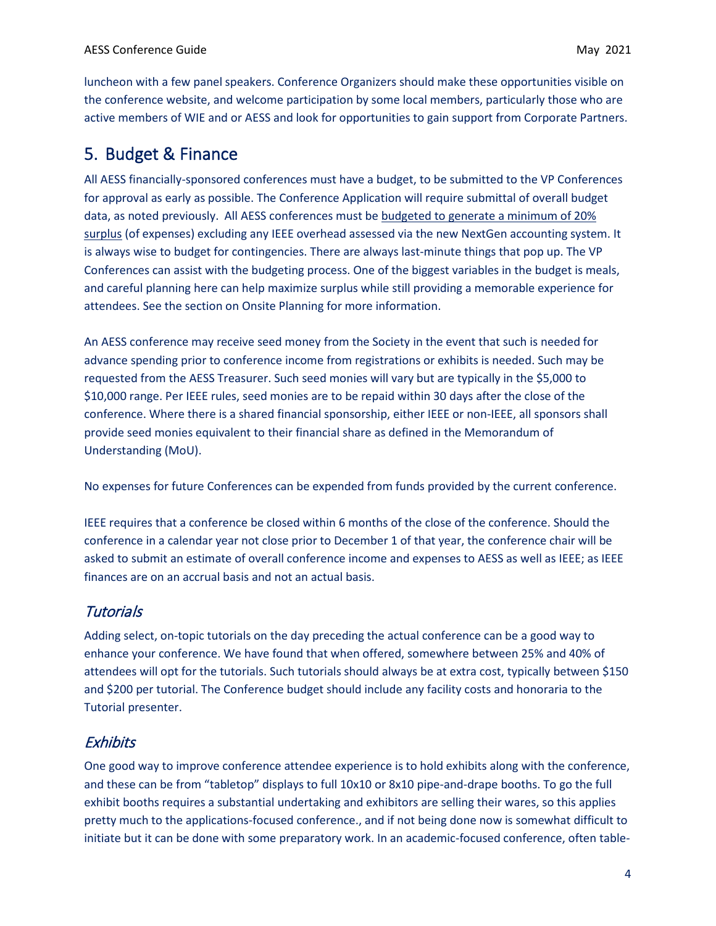luncheon with a few panel speakers. Conference Organizers should make these opportunities visible on the conference website, and welcome participation by some local members, particularly those who are active members of WIE and or AESS and look for opportunities to gain support from Corporate Partners.

## <span id="page-3-0"></span>5. Budget & Finance

All AESS financially-sponsored conferences must have a budget, to be submitted to the VP Conferences for approval as early as possible. The Conference Application will require submittal of overall budget data, as noted previously. All AESS conferences must be budgeted to generate a minimum of 20% surplus (of expenses) excluding any IEEE overhead assessed via the new NextGen accounting system. It is always wise to budget for contingencies. There are always last-minute things that pop up. The VP Conferences can assist with the budgeting process. One of the biggest variables in the budget is meals, and careful planning here can help maximize surplus while still providing a memorable experience for attendees. See the section on Onsite Planning for more information.

An AESS conference may receive seed money from the Society in the event that such is needed for advance spending prior to conference income from registrations or exhibits is needed. Such may be requested from the AESS Treasurer. Such seed monies will vary but are typically in the \$5,000 to \$10,000 range. Per IEEE rules, seed monies are to be repaid within 30 days after the close of the conference. Where there is a shared financial sponsorship, either IEEE or non-IEEE, all sponsors shall provide seed monies equivalent to their financial share as defined in the Memorandum of Understanding (MoU).

No expenses for future Conferences can be expended from funds provided by the current conference.

IEEE requires that a conference be closed within 6 months of the close of the conference. Should the conference in a calendar year not close prior to December 1 of that year, the conference chair will be asked to submit an estimate of overall conference income and expenses to AESS as well as IEEE; as IEEE finances are on an accrual basis and not an actual basis.

### <span id="page-3-1"></span>**Tutorials**

Adding select, on-topic tutorials on the day preceding the actual conference can be a good way to enhance your conference. We have found that when offered, somewhere between 25% and 40% of attendees will opt for the tutorials. Such tutorials should always be at extra cost, typically between \$150 and \$200 per tutorial. The Conference budget should include any facility costs and honoraria to the Tutorial presenter.

### <span id="page-3-2"></span>**Exhibits**

One good way to improve conference attendee experience is to hold exhibits along with the conference, and these can be from "tabletop" displays to full 10x10 or 8x10 pipe-and-drape booths. To go the full exhibit booths requires a substantial undertaking and exhibitors are selling their wares, so this applies pretty much to the applications-focused conference., and if not being done now is somewhat difficult to initiate but it can be done with some preparatory work. In an academic-focused conference, often table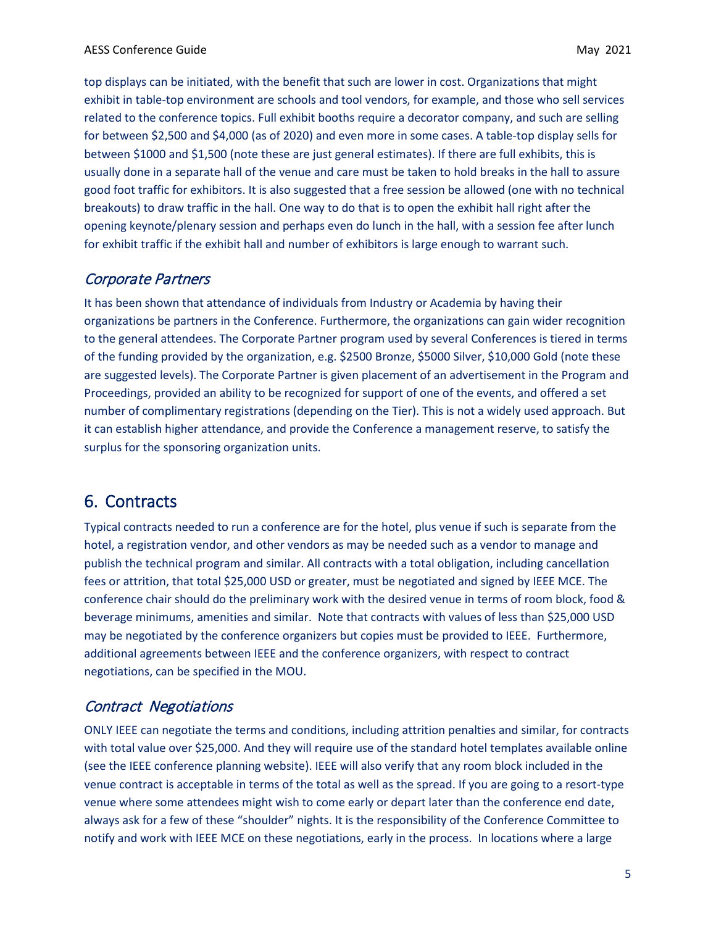top displays can be initiated, with the benefit that such are lower in cost. Organizations that might exhibit in table-top environment are schools and tool vendors, for example, and those who sell services related to the conference topics. Full exhibit booths require a decorator company, and such are selling for between \$2,500 and \$4,000 (as of 2020) and even more in some cases. A table-top display sells for between \$1000 and \$1,500 (note these are just general estimates). If there are full exhibits, this is usually done in a separate hall of the venue and care must be taken to hold breaks in the hall to assure good foot traffic for exhibitors. It is also suggested that a free session be allowed (one with no technical breakouts) to draw traffic in the hall. One way to do that is to open the exhibit hall right after the opening keynote/plenary session and perhaps even do lunch in the hall, with a session fee after lunch for exhibit traffic if the exhibit hall and number of exhibitors is large enough to warrant such.

#### <span id="page-4-0"></span>Corporate Partners

It has been shown that attendance of individuals from Industry or Academia by having their organizations be partners in the Conference. Furthermore, the organizations can gain wider recognition to the general attendees. The Corporate Partner program used by several Conferences is tiered in terms of the funding provided by the organization, e.g. \$2500 Bronze, \$5000 Silver, \$10,000 Gold (note these are suggested levels). The Corporate Partner is given placement of an advertisement in the Program and Proceedings, provided an ability to be recognized for support of one of the events, and offered a set number of complimentary registrations (depending on the Tier). This is not a widely used approach. But it can establish higher attendance, and provide the Conference a management reserve, to satisfy the surplus for the sponsoring organization units.

## <span id="page-4-1"></span>6. Contracts

Typical contracts needed to run a conference are for the hotel, plus venue if such is separate from the hotel, a registration vendor, and other vendors as may be needed such as a vendor to manage and publish the technical program and similar. All contracts with a total obligation, including cancellation fees or attrition, that total \$25,000 USD or greater, must be negotiated and signed by IEEE MCE. The conference chair should do the preliminary work with the desired venue in terms of room block, food & beverage minimums, amenities and similar. Note that contracts with values of less than \$25,000 USD may be negotiated by the conference organizers but copies must be provided to IEEE. Furthermore, additional agreements between IEEE and the conference organizers, with respect to contract negotiations, can be specified in the MOU.

### <span id="page-4-2"></span>Contract Negotiations

ONLY IEEE can negotiate the terms and conditions, including attrition penalties and similar, for contracts with total value over \$25,000. And they will require use of the standard hotel templates available online (see the IEEE conference planning website). IEEE will also verify that any room block included in the venue contract is acceptable in terms of the total as well as the spread. If you are going to a resort-type venue where some attendees might wish to come early or depart later than the conference end date, always ask for a few of these "shoulder" nights. It is the responsibility of the Conference Committee to notify and work with IEEE MCE on these negotiations, early in the process. In locations where a large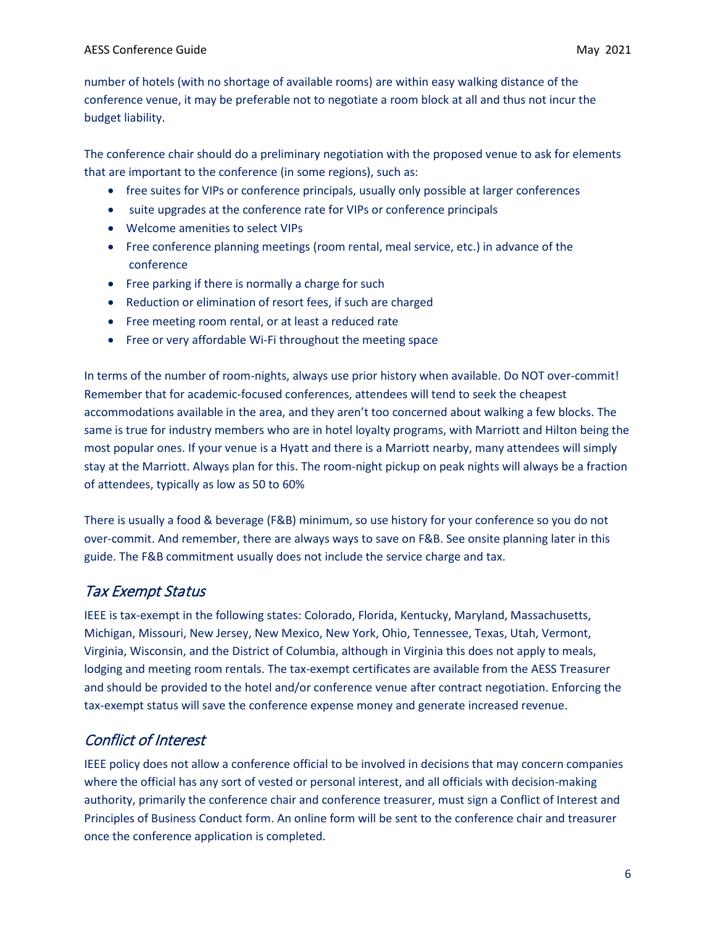number of hotels (with no shortage of available rooms) are within easy walking distance of the conference venue, it may be preferable not to negotiate a room block at all and thus not incur the budget liability.

The conference chair should do a preliminary negotiation with the proposed venue to ask for elements that are important to the conference (in some regions), such as:

- free suites for VIPs or conference principals, usually only possible at larger conferences
- suite upgrades at the conference rate for VIPs or conference principals
- Welcome amenities to select VIPs
- Free conference planning meetings (room rental, meal service, etc.) in advance of the conference
- Free parking if there is normally a charge for such
- Reduction or elimination of resort fees, if such are charged
- Free meeting room rental, or at least a reduced rate
- Free or very affordable Wi-Fi throughout the meeting space

In terms of the number of room-nights, always use prior history when available. Do NOT over-commit! Remember that for academic-focused conferences, attendees will tend to seek the cheapest accommodations available in the area, and they aren't too concerned about walking a few blocks. The same is true for industry members who are in hotel loyalty programs, with Marriott and Hilton being the most popular ones. If your venue is a Hyatt and there is a Marriott nearby, many attendees will simply stay at the Marriott. Always plan for this. The room-night pickup on peak nights will always be a fraction of attendees, typically as low as 50 to 60%

There is usually a food & beverage (F&B) minimum, so use history for your conference so you do not over-commit. And remember, there are always ways to save on F&B. See onsite planning later in this guide. The F&B commitment usually does not include the service charge and tax.

### <span id="page-5-0"></span>Tax Exempt Status

IEEE is tax-exempt in the following states: Colorado, Florida, Kentucky, Maryland, Massachusetts, Michigan, Missouri, New Jersey, New Mexico, New York, Ohio, Tennessee, Texas, Utah, Vermont, Virginia, Wisconsin, and the District of Columbia, although in Virginia this does not apply to meals, lodging and meeting room rentals. The tax-exempt certificates are available from the AESS Treasurer and should be provided to the hotel and/or conference venue after contract negotiation. Enforcing the tax-exempt status will save the conference expense money and generate increased revenue.

### <span id="page-5-1"></span>Conflict of Interest

IEEE policy does not allow a conference official to be involved in decisions that may concern companies where the official has any sort of vested or personal interest, and all officials with decision-making authority, primarily the conference chair and conference treasurer, must sign a Conflict of Interest and Principles of Business Conduct form. An online form will be sent to the conference chair and treasurer once the conference application is completed.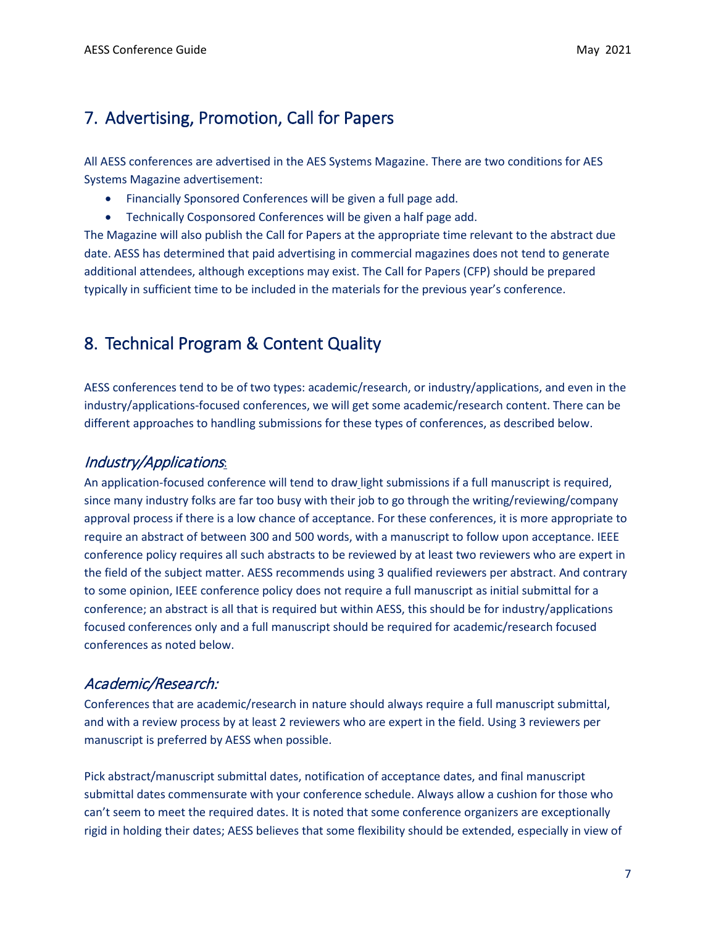## <span id="page-6-0"></span>7. Advertising, Promotion, Call for Papers

All AESS conferences are advertised in the AES Systems Magazine. There are two conditions for AES Systems Magazine advertisement:

- Financially Sponsored Conferences will be given a full page add.
- Technically Cosponsored Conferences will be given a half page add.

The Magazine will also publish the Call for Papers at the appropriate time relevant to the abstract due date. AESS has determined that paid advertising in commercial magazines does not tend to generate additional attendees, although exceptions may exist. The Call for Papers (CFP) should be prepared typically in sufficient time to be included in the materials for the previous year's conference.

## <span id="page-6-1"></span>8. Technical Program & Content Quality

AESS conferences tend to be of two types: academic/research, or industry/applications, and even in the industry/applications-focused conferences, we will get some academic/research content. There can be different approaches to handling submissions for these types of conferences, as described below.

### <span id="page-6-2"></span>Industry/Applications:

An application-focused conference will tend to draw light submissions if a full manuscript is required, since many industry folks are far too busy with their job to go through the writing/reviewing/company approval process if there is a low chance of acceptance. For these conferences, it is more appropriate to require an abstract of between 300 and 500 words, with a manuscript to follow upon acceptance. IEEE conference policy requires all such abstracts to be reviewed by at least two reviewers who are expert in the field of the subject matter. AESS recommends using 3 qualified reviewers per abstract. And contrary to some opinion, IEEE conference policy does not require a full manuscript as initial submittal for a conference; an abstract is all that is required but within AESS, this should be for industry/applications focused conferences only and a full manuscript should be required for academic/research focused conferences as noted below.

### <span id="page-6-3"></span>Academic/Research:

Conferences that are academic/research in nature should always require a full manuscript submittal, and with a review process by at least 2 reviewers who are expert in the field. Using 3 reviewers per manuscript is preferred by AESS when possible.

Pick abstract/manuscript submittal dates, notification of acceptance dates, and final manuscript submittal dates commensurate with your conference schedule. Always allow a cushion for those who can't seem to meet the required dates. It is noted that some conference organizers are exceptionally rigid in holding their dates; AESS believes that some flexibility should be extended, especially in view of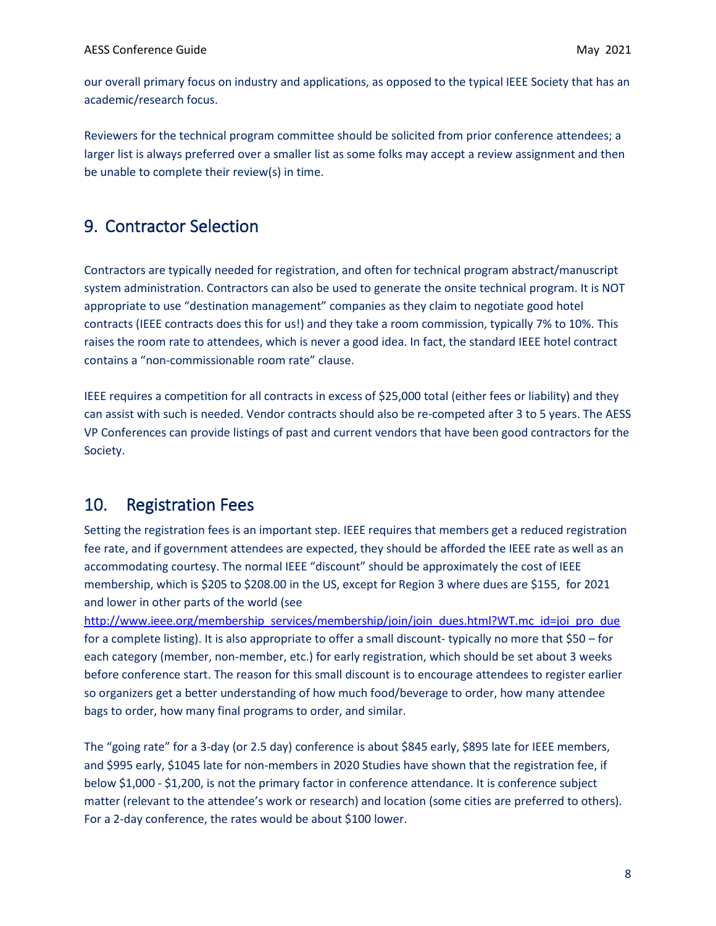our overall primary focus on industry and applications, as opposed to the typical IEEE Society that has an academic/research focus.

Reviewers for the technical program committee should be solicited from prior conference attendees; a larger list is always preferred over a smaller list as some folks may accept a review assignment and then be unable to complete their review(s) in time.

## <span id="page-7-0"></span>9. Contractor Selection

Contractors are typically needed for registration, and often for technical program abstract/manuscript system administration. Contractors can also be used to generate the onsite technical program. It is NOT appropriate to use "destination management" companies as they claim to negotiate good hotel contracts (IEEE contracts does this for us!) and they take a room commission, typically 7% to 10%. This raises the room rate to attendees, which is never a good idea. In fact, the standard IEEE hotel contract contains a "non-commissionable room rate" clause.

IEEE requires a competition for all contracts in excess of \$25,000 total (either fees or liability) and they can assist with such is needed. Vendor contracts should also be re-competed after 3 to 5 years. The AESS VP Conferences can provide listings of past and current vendors that have been good contractors for the Society.

### <span id="page-7-1"></span>10. Registration Fees

Setting the registration fees is an important step. IEEE requires that members get a reduced registration fee rate, and if government attendees are expected, they should be afforded the IEEE rate as well as an accommodating courtesy. The normal IEEE "discount" should be approximately the cost of IEEE membership, which is \$205 to \$208.00 in the US, except for Region 3 where dues are \$155, for 2021 and lower in other parts of the world (see

[http://www.ieee.org/membership\\_services/membership/join/join\\_dues.html?WT.mc\\_id=joi\\_pro\\_due](http://www.ieee.org/membership_services/membership/join/join_dues.html?WT.mc_id=joi_pro_due) for a complete listing). It is also appropriate to offer a small discount- typically no more that \$50 – for each category (member, non-member, etc.) for early registration, which should be set about 3 weeks before conference start. The reason for this small discount is to encourage attendees to register earlier so organizers get a better understanding of how much food/beverage to order, how many attendee bags to order, how many final programs to order, and similar.

The "going rate" for a 3-day (or 2.5 day) conference is about \$845 early, \$895 late for IEEE members, and \$995 early, \$1045 late for non-members in 2020 Studies have shown that the registration fee, if below \$1,000 - \$1,200, is not the primary factor in conference attendance. It is conference subject matter (relevant to the attendee's work or research) and location (some cities are preferred to others). For a 2-day conference, the rates would be about \$100 lower.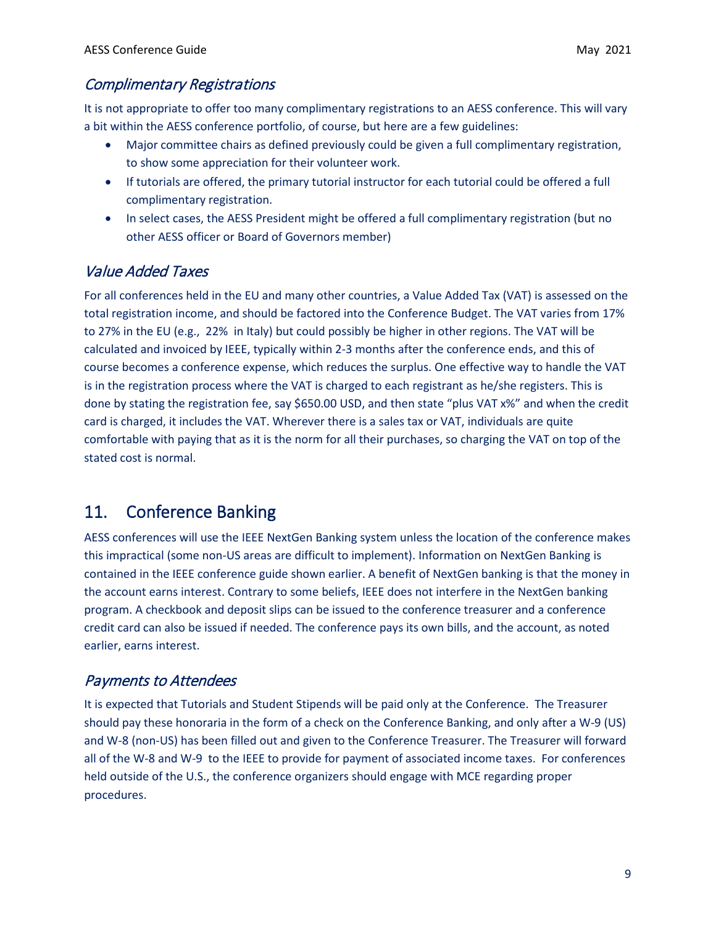#### <span id="page-8-0"></span>Complimentary Registrations

It is not appropriate to offer too many complimentary registrations to an AESS conference. This will vary a bit within the AESS conference portfolio, of course, but here are a few guidelines:

- Major committee chairs as defined previously could be given a full complimentary registration, to show some appreciation for their volunteer work.
- If tutorials are offered, the primary tutorial instructor for each tutorial could be offered a full complimentary registration.
- In select cases, the AESS President might be offered a full complimentary registration (but no other AESS officer or Board of Governors member)

## <span id="page-8-1"></span>Value Added Taxes

For all conferences held in the EU and many other countries, a Value Added Tax (VAT) is assessed on the total registration income, and should be factored into the Conference Budget. The VAT varies from 17% to 27% in the EU (e.g., 22% in Italy) but could possibly be higher in other regions. The VAT will be calculated and invoiced by IEEE, typically within 2-3 months after the conference ends, and this of course becomes a conference expense, which reduces the surplus. One effective way to handle the VAT is in the registration process where the VAT is charged to each registrant as he/she registers. This is done by stating the registration fee, say \$650.00 USD, and then state "plus VAT x%" and when the credit card is charged, it includes the VAT. Wherever there is a sales tax or VAT, individuals are quite comfortable with paying that as it is the norm for all their purchases, so charging the VAT on top of the stated cost is normal.

## <span id="page-8-2"></span>11. Conference Banking

AESS conferences will use the IEEE NextGen Banking system unless the location of the conference makes this impractical (some non-US areas are difficult to implement). Information on NextGen Banking is contained in the IEEE conference guide shown earlier. A benefit of NextGen banking is that the money in the account earns interest. Contrary to some beliefs, IEEE does not interfere in the NextGen banking program. A checkbook and deposit slips can be issued to the conference treasurer and a conference credit card can also be issued if needed. The conference pays its own bills, and the account, as noted earlier, earns interest.

## <span id="page-8-3"></span>Payments to Attendees

It is expected that Tutorials and Student Stipends will be paid only at the Conference. The Treasurer should pay these honoraria in the form of a check on the Conference Banking, and only after a W-9 (US) and W-8 (non-US) has been filled out and given to the Conference Treasurer. The Treasurer will forward all of the W-8 and W-9 to the IEEE to provide for payment of associated income taxes. For conferences held outside of the U.S., the conference organizers should engage with MCE regarding proper procedures.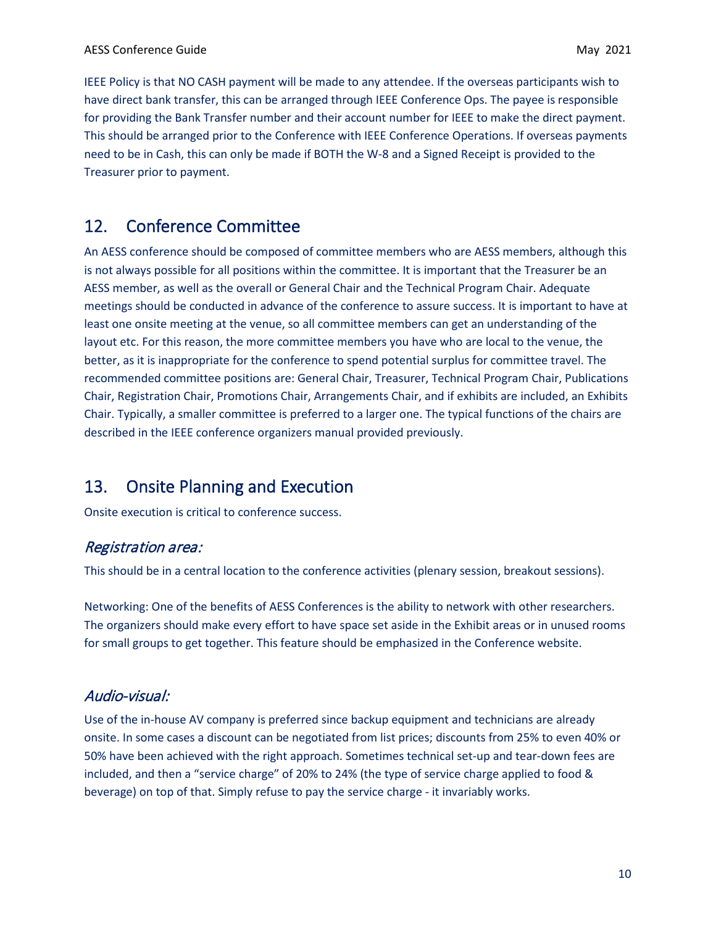IEEE Policy is that NO CASH payment will be made to any attendee. If the overseas participants wish to have direct bank transfer, this can be arranged through IEEE Conference Ops. The payee is responsible for providing the Bank Transfer number and their account number for IEEE to make the direct payment. This should be arranged prior to the Conference with IEEE Conference Operations. If overseas payments need to be in Cash, this can only be made if BOTH the W-8 and a Signed Receipt is provided to the Treasurer prior to payment.

## <span id="page-9-0"></span>12. Conference Committee

An AESS conference should be composed of committee members who are AESS members, although this is not always possible for all positions within the committee. It is important that the Treasurer be an AESS member, as well as the overall or General Chair and the Technical Program Chair. Adequate meetings should be conducted in advance of the conference to assure success. It is important to have at least one onsite meeting at the venue, so all committee members can get an understanding of the layout etc. For this reason, the more committee members you have who are local to the venue, the better, as it is inappropriate for the conference to spend potential surplus for committee travel. The recommended committee positions are: General Chair, Treasurer, Technical Program Chair, Publications Chair, Registration Chair, Promotions Chair, Arrangements Chair, and if exhibits are included, an Exhibits Chair. Typically, a smaller committee is preferred to a larger one. The typical functions of the chairs are described in the IEEE conference organizers manual provided previously.

## <span id="page-9-1"></span>13. Onsite Planning and Execution

<span id="page-9-2"></span>Onsite execution is critical to conference success.

### Registration area:

This should be in a central location to the conference activities (plenary session, breakout sessions).

Networking: One of the benefits of AESS Conferences is the ability to network with other researchers. The organizers should make every effort to have space set aside in the Exhibit areas or in unused rooms for small groups to get together. This feature should be emphasized in the Conference website.

### <span id="page-9-3"></span>Audio-visual:

Use of the in-house AV company is preferred since backup equipment and technicians are already onsite. In some cases a discount can be negotiated from list prices; discounts from 25% to even 40% or 50% have been achieved with the right approach. Sometimes technical set-up and tear-down fees are included, and then a "service charge" of 20% to 24% (the type of service charge applied to food & beverage) on top of that. Simply refuse to pay the service charge - it invariably works.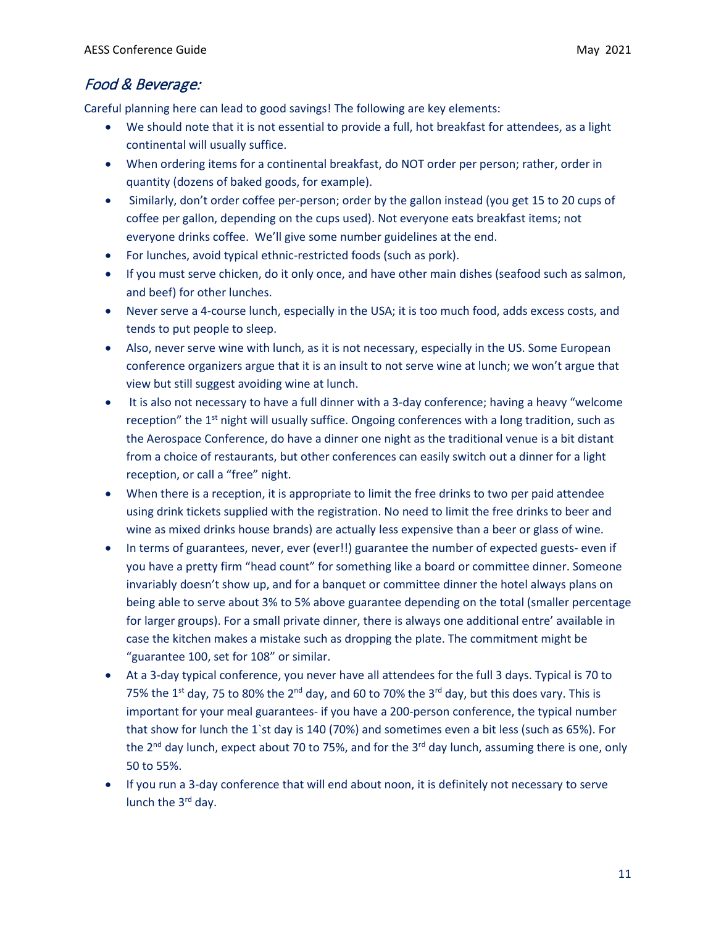### <span id="page-10-0"></span>Food & Beverage:

Careful planning here can lead to good savings! The following are key elements:

- We should note that it is not essential to provide a full, hot breakfast for attendees, as a light continental will usually suffice.
- When ordering items for a continental breakfast, do NOT order per person; rather, order in quantity (dozens of baked goods, for example).
- Similarly, don't order coffee per-person; order by the gallon instead (you get 15 to 20 cups of coffee per gallon, depending on the cups used). Not everyone eats breakfast items; not everyone drinks coffee. We'll give some number guidelines at the end.
- For lunches, avoid typical ethnic-restricted foods (such as pork).
- If you must serve chicken, do it only once, and have other main dishes (seafood such as salmon, and beef) for other lunches.
- Never serve a 4-course lunch, especially in the USA; it is too much food, adds excess costs, and tends to put people to sleep.
- Also, never serve wine with lunch, as it is not necessary, especially in the US. Some European conference organizers argue that it is an insult to not serve wine at lunch; we won't argue that view but still suggest avoiding wine at lunch.
- It is also not necessary to have a full dinner with a 3-day conference; having a heavy "welcome reception" the 1<sup>st</sup> night will usually suffice. Ongoing conferences with a long tradition, such as the Aerospace Conference, do have a dinner one night as the traditional venue is a bit distant from a choice of restaurants, but other conferences can easily switch out a dinner for a light reception, or call a "free" night.
- When there is a reception, it is appropriate to limit the free drinks to two per paid attendee using drink tickets supplied with the registration. No need to limit the free drinks to beer and wine as mixed drinks house brands) are actually less expensive than a beer or glass of wine.
- In terms of guarantees, never, ever (ever!!) guarantee the number of expected guests- even if you have a pretty firm "head count" for something like a board or committee dinner. Someone invariably doesn't show up, and for a banquet or committee dinner the hotel always plans on being able to serve about 3% to 5% above guarantee depending on the total (smaller percentage for larger groups). For a small private dinner, there is always one additional entre' available in case the kitchen makes a mistake such as dropping the plate. The commitment might be "guarantee 100, set for 108" or similar.
- At a 3-day typical conference, you never have all attendees for the full 3 days. Typical is 70 to 75% the 1<sup>st</sup> day, 75 to 80% the 2<sup>nd</sup> day, and 60 to 70% the 3<sup>rd</sup> day, but this does vary. This is important for your meal guarantees- if you have a 200-person conference, the typical number that show for lunch the 1`st day is 140 (70%) and sometimes even a bit less (such as 65%). For the  $2^{nd}$  day lunch, expect about 70 to 75%, and for the  $3^{rd}$  day lunch, assuming there is one, only 50 to 55%.
- If you run a 3-day conference that will end about noon, it is definitely not necessary to serve lunch the  $3<sup>rd</sup>$  day.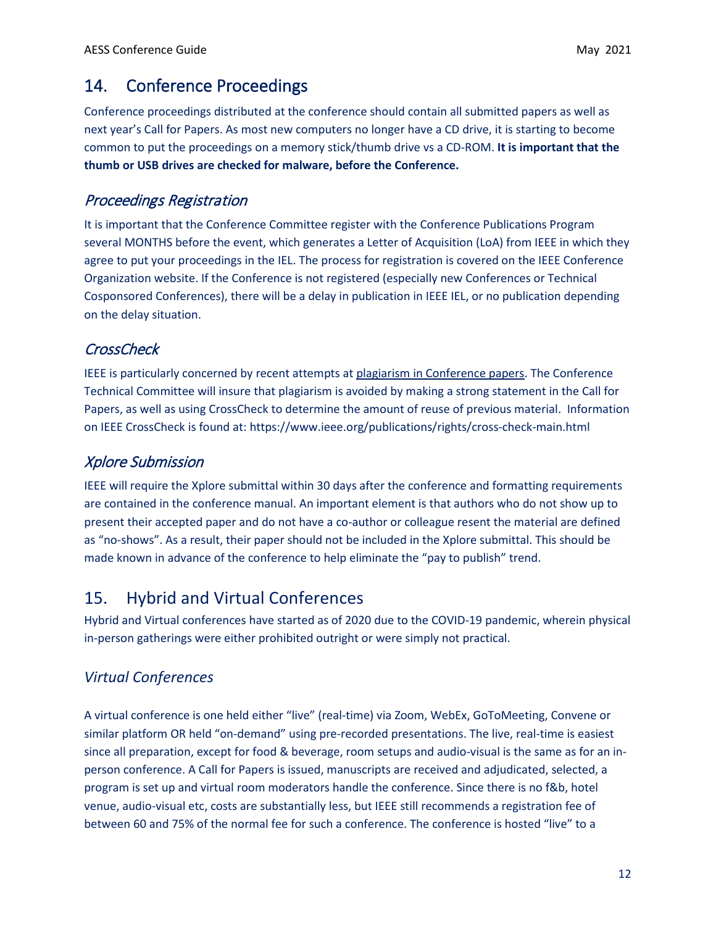## <span id="page-11-0"></span>14. Conference Proceedings

Conference proceedings distributed at the conference should contain all submitted papers as well as next year's Call for Papers. As most new computers no longer have a CD drive, it is starting to become common to put the proceedings on a memory stick/thumb drive vs a CD-ROM. **It is important that the thumb or USB drives are checked for malware, before the Conference.**

#### <span id="page-11-1"></span>Proceedings Registration

It is important that the Conference Committee register with the Conference Publications Program several MONTHS before the event, which generates a Letter of Acquisition (LoA) from IEEE in which they agree to put your proceedings in the IEL. The process for registration is covered on the IEEE Conference Organization website. If the Conference is not registered (especially new Conferences or Technical Cosponsored Conferences), there will be a delay in publication in IEEE IEL, or no publication depending on the delay situation.

### <span id="page-11-2"></span>**CrossCheck**

IEEE is particularly concerned by recent attempts at plagiarism in Conference papers. The Conference Technical Committee will insure that plagiarism is avoided by making a strong statement in the Call for Papers, as well as using CrossCheck to determine the amount of reuse of previous material. Information on IEEE CrossCheck is found at: https://www.ieee.org/publications/rights/cross-check-main.html

#### <span id="page-11-3"></span>Xplore Submission

IEEE will require the Xplore submittal within 30 days after the conference and formatting requirements are contained in the conference manual. An important element is that authors who do not show up to present their accepted paper and do not have a co-author or colleague resent the material are defined as "no-shows". As a result, their paper should not be included in the Xplore submittal. This should be made known in advance of the conference to help eliminate the "pay to publish" trend.

## 15. Hybrid and Virtual Conferences

Hybrid and Virtual conferences have started as of 2020 due to the COVID-19 pandemic, wherein physical in-person gatherings were either prohibited outright or were simply not practical.

### *Virtual Conferences*

A virtual conference is one held either "live" (real-time) via Zoom, WebEx, GoToMeeting, Convene or similar platform OR held "on-demand" using pre-recorded presentations. The live, real-time is easiest since all preparation, except for food & beverage, room setups and audio-visual is the same as for an inperson conference. A Call for Papers is issued, manuscripts are received and adjudicated, selected, a program is set up and virtual room moderators handle the conference. Since there is no f&b, hotel venue, audio-visual etc, costs are substantially less, but IEEE still recommends a registration fee of between 60 and 75% of the normal fee for such a conference. The conference is hosted "live" to a